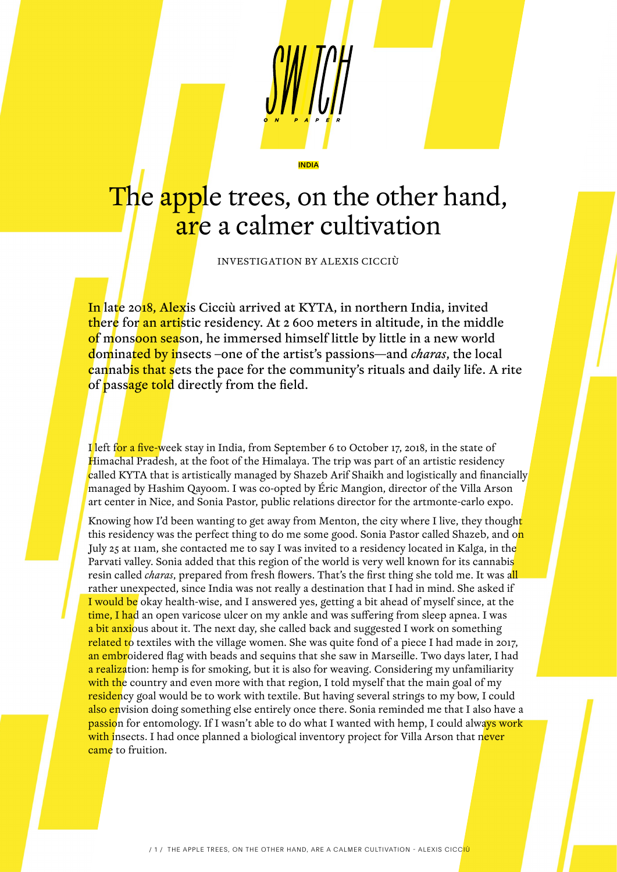# The apple trees, on the other hand, are a calmer cultivation

INDIA

INVESTIGATION BY ALEXIS CICCIÙ

In late 2018, Alexis Cicciù arrived at KYTA, in northern India, invited there for an artistic residency. At 2 600 meters in altitude, in the middle of monsoon season, he immersed himself little by little in a new world dominated by insects –one of the artist's passions—and *charas*, the local cannabis that sets the pace for the community's rituals and daily life. A rite of passage told directly from the field.

I left for a five-week stay in India, from September 6 to October 17, 2018, in the state of Himachal Pradesh, at the foot of the Himalaya. The trip was part of an artistic residency called KYTA that is artistically managed by Shazeb Arif Shaikh and logistically and financially managed by Hashim Qayoom. I was co-opted by Éric Mangion, director of the Villa Arson art center in Nice, and Sonia Pastor, public relations director for the artmonte-carlo expo.

Knowing how I'd been wanting to get away from Menton, the city where I live, they thought this residency was the perfect thing to do me some good. Sonia Pastor called Shazeb, and o<mark>n</mark> July 25 at 11am, she contacted me to say I was invited to a residency located in Kalga, in the Parvati valley. Sonia added that this region of the world is very well known for its cannabis resin called *charas*, prepared from fresh flowers. That's the first thing she told me. It was all rather unexpected, since India was not really a destination that I had in mind. She asked if I would be okay health-wise, and I answered yes, getting a bit ahead of myself since, at the time, I had an open varicose ulcer on my ankle and was suffering from sleep apnea. I was a bit anxious about it. The next day, she called back and suggested I work on something related to textiles with the village women. She was quite fond of a piece I had made in 2017, an embroidered flag with beads and sequins that she saw in Marseille. Two days later, I had a realization: hemp is for smoking, but it is also for weaving. Considering my unfamiliarity with the country and even more with that region, I told myself that the main goal of my residency goal would be to work with textile. But having several strings to my bow, I could also envision doing something else entirely once there. Sonia reminded me that I also have a passion for entomology. If I wasn't able to do what I wanted with hemp, I could always work with insects. I had once planned a biological inventory project for Villa Arson that never came to fruition.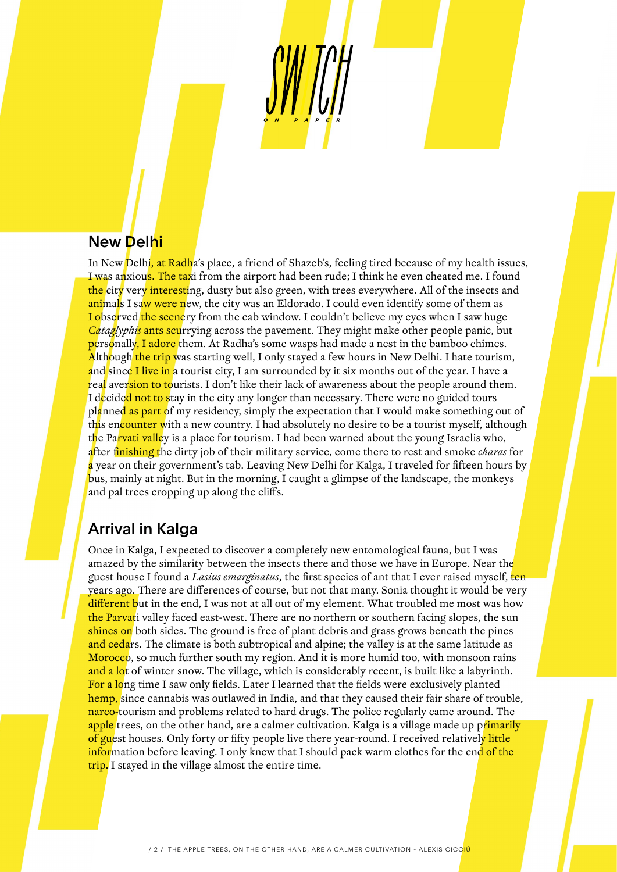#### New Delhi

In New Delhi, at Radha's place, a friend of Shazeb's, feeling tired because of my health issues, I was anxious. The taxi from the airport had been rude; I think he even cheated me. I found the city very interesting, dusty but also green, with trees everywhere. All of the insects and animals I saw were new, the city was an Eldorado. I could even identify some of them as I observed the scenery from the cab window. I couldn't believe my eyes when I saw huge *Cataglyphis* ants scurrying across the pavement. They might make other people panic, but personally, I adore them. At Radha's some wasps had made a nest in the bamboo chimes. Although the trip was starting well, I only stayed a few hours in New Delhi. I hate tourism, and since I live in a tourist city, I am surrounded by it six months out of the year. I have a real aversion to tourists. I don't like their lack of awareness about the people around them. I decided not to stay in the city any longer than necessary. There were no guided tours planned as part of my residency, simply the expectation that I would make something out of this encounter with a new country. I had absolutely no desire to be a tourist myself, although the Parvati valley is a place for tourism. I had been warned about the young Israelis who, after finishing the dirty job of their military service, come there to rest and smoke *charas* for a year on their government's tab. Leaving New Delhi for Kalga, I traveled for fifteen hours by bus, mainly at night. But in the morning, I caught a glimpse of the landscape, the monkeys and pal trees cropping up along the cliffs.

#### Arrival in Kalga

Once in Kalga, I expected to discover a completely new entomological fauna, but I was amazed by the similarity between the insects there and those we have in Europe. Near the guest house I found a *Lasius emarginatus*, the first species of ant that I ever raised myself, ten years ago. There are differences of course, but not that many. Sonia thought it would be very different but in the end, I was not at all out of my element. What troubled me most was how the Parvati valley faced east-west. There are no northern or southern facing slopes, the sun shines on both sides. The ground is free of plant debris and grass grows beneath the pines and cedars. The climate is both subtropical and alpine; the valley is at the same latitude as Morocco, so much further south my region. And it is more humid too, with monsoon rains and a lot of winter snow. The village, which is considerably recent, is built like a labyrinth. For a long time I saw only fields. Later I learned that the fields were exclusively planted hemp, since cannabis was outlawed in India, and that they caused their fair share of trouble, narco-tourism and problems related to hard drugs. The police regularly came around. The apple trees, on the other hand, are a calmer cultivation. Kalga is a village made up primarily of guest houses. Only forty or fifty people live there year-round. I received relatively little information before leaving. I only knew that I should pack warm clothes for the end of the trip. I stayed in the village almost the entire time.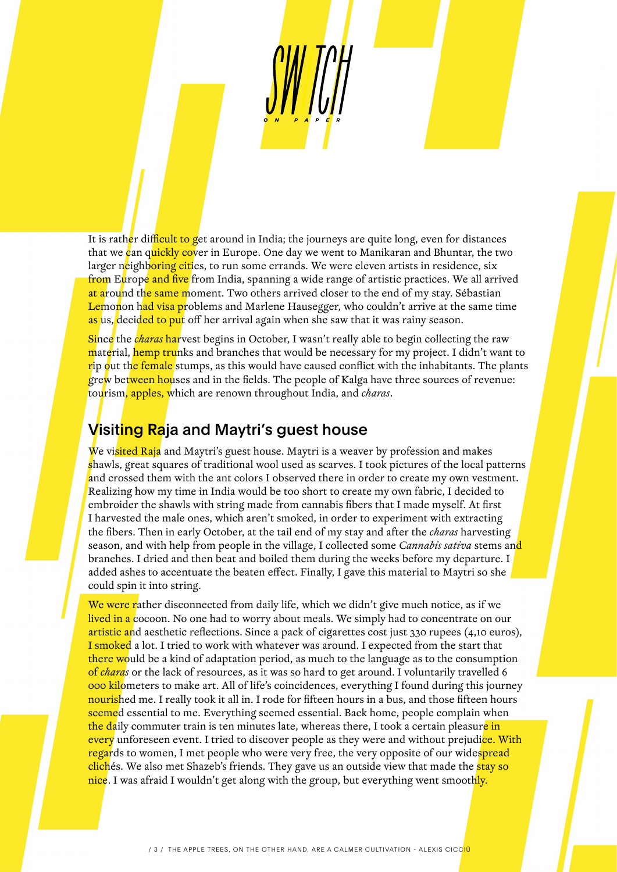It is rather difficult to get around in India; the journeys are quite long, even for distances that we can quickly cover in Europe. One day we went to Manikaran and Bhuntar, the two larger neighboring cities, to run some errands. We were eleven artists in residence, six from Europe and five from India, spanning a wide range of artistic practices. We all arrived at around the same moment. Two others arrived closer to the end of my stay. Sébastian Lemonon had visa problems and Marlene Hausegger, who couldn't arrive at the same time as us, decided to put off her arrival again when she saw that it was rainy season.

Since the *charas* harvest begins in October, I wasn't really able to begin collecting the raw material, hemp trunks and branches that would be necessary for my project. I didn't want to rip out the female stumps, as this would have caused conflict with the inhabitants. The plants grew between houses and in the fields. The people of Kalga have three sources of revenue: tourism, apples, which are renown throughout India, and *charas*.

#### Visiting Raja and Maytri's guest house

We visited Raja and Maytri's guest house. Maytri is a weaver by profession and makes shawls, great squares of traditional wool used as scarves. I took pictures of the local patterns and crossed them with the ant colors I observed there in order to create my own vestment. Realizing how my time in India would be too short to create my own fabric, I decided to embroider the shawls with string made from cannabis fibers that I made myself. At first I harvested the male ones, which aren't smoked, in order to experiment with extracting the fibers. Then in early October, at the tail end of my stay and after the *charas* harvesting season, and with help from people in the village, I collected some *Cannabis sativa* stems and branches. I dried and then beat and boiled them during the weeks before my departure. I added ashes to accentuate the beaten effect. Finally, I gave this material to Maytri so she could spin it into string.

We were rather disconnected from daily life, which we didn't give much notice, as if we lived in a cocoon. No one had to worry about meals. We simply had to concentrate on our artistic and aesthetic reflections. Since a pack of cigarettes cost just 330 rupees (4,10 euros), I smoked a lot. I tried to work with whatever was around. I expected from the start that there would be a kind of adaptation period, as much to the language as to the consumption of *charas* or the lack of resources, as it was so hard to get around. I voluntarily travelled 6 000 kilometers to make art. All of life's coincidences, everything I found during this journey nourished me. I really took it all in. I rode for fifteen hours in a bus, and those fifteen hours seemed essential to me. Everything seemed essential. Back home, people complain when the daily commuter train is ten minutes late, whereas there, I took a certain pleasure in every unforeseen event. I tried to discover people as they were and without prejudi<mark>ce. With</mark> regards to women, I met people who were very free, the very opposite of our widespread clichés. We also met Shazeb's friends. They gave us an outside view that made the **stay so** nice. I was afraid I wouldn't get along with the group, but everything went smoothly.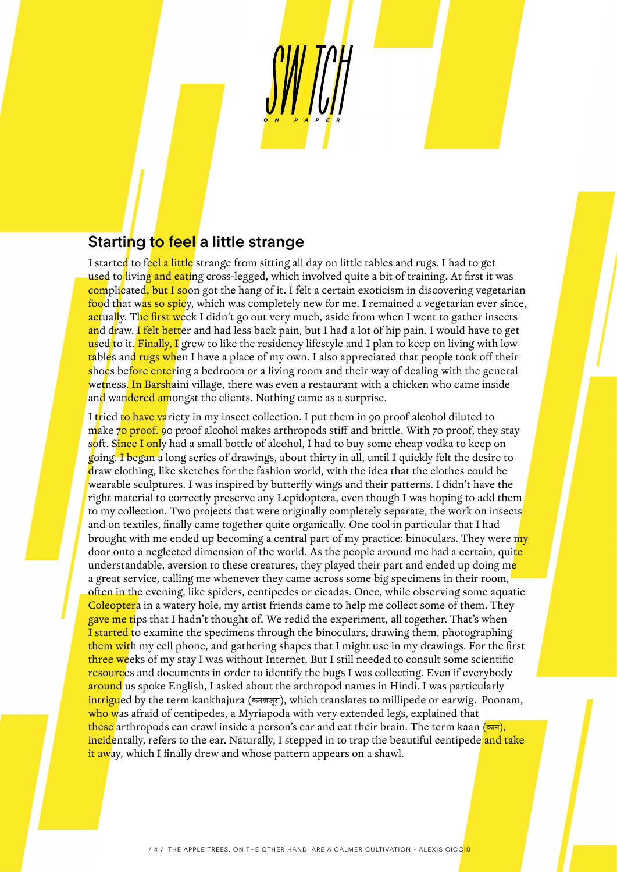#### Starting to feel a little strange

I started to feel a little strange from sitting all day on little tables and rugs. I had to get used to living and eating cross-legged, which involved quite a bit of training. At first it was complicated, but I soon got the hang of it. I felt a certain exoticism in discovering vegetarian food that was so spicy, which was completely new for me. I remained a vegetarian ever since, actually. The first week I didn't go out very much, aside from when I went to gather insects and draw. I felt better and had less back pain, but I had a lot of hip pain. I would have to get used to it. Finally, I grew to like the residency lifestyle and I plan to keep on living with low tables and rugs when I have a place of my own. I also appreciated that people took off their shoes before entering a bedroom or a living room and their way of dealing with the general wetness. In Barshaini village, there was even a restaurant with a chicken who came inside and wandered amongst the clients. Nothing came as a surprise.

I tried to have variety in my insect collection. I put them in 90 proof alcohol diluted to make 70 proof. 90 proof alcohol makes arthropods stiff and brittle. With 70 proof, they stay soft. Since I only had a small bottle of alcohol, I had to buy some cheap vodka to keep on going. I began a long series of drawings, about thirty in all, until I quickly felt the desire to draw clothing, like sketches for the fashion world, with the idea that the clothes could be wearable sculptures. I was inspired by butterfly wings and their patterns. I didn't have the right material to correctly preserve any Lepidoptera, even though I was hoping to add them to my collection. Two projects that were originally completely separate, the work on insects and on textiles, finally came together quite organically. One tool in particular that I had brought with me ended up becoming a central part of my practice: binoculars. They were my door onto a neglected dimension of the world. As the people around me had a certain, quite understandable, aversion to these creatures, they played their part and ended up doing me a great service, calling me whenever they came across some big specimens in their room, often in the evening, like spiders, centipedes or cicadas. Once, while observing some aquatic Coleoptera in a watery hole, my artist friends came to help me collect some of them. They gave me tips that I hadn't thought of. We redid the experiment, all together. That's when I started to examine the specimens through the binoculars, drawing them, photographing them with my cell phone, and gathering shapes that I might use in my drawings. For the first three weeks of my stay I was without Internet. But I still needed to consult some scientific resources and documents in order to identify the bugs I was collecting. Even if everybody around us spoke English, I asked about the arthropod names in Hindi. I was particularly intrigued by the term kankhajura (कनखजूरा), which translates to millipede or earwig. Poonam, who was afraid of centipedes, a Myriapoda with very extended legs, explained that these arthropods can crawl inside a person's ear and eat their brain. The term kaan (कान), incidentally, refers to the ear. Naturally, I stepped in to trap the beautiful centipede and take it away, which I finally drew and whose pattern appears on a shawl.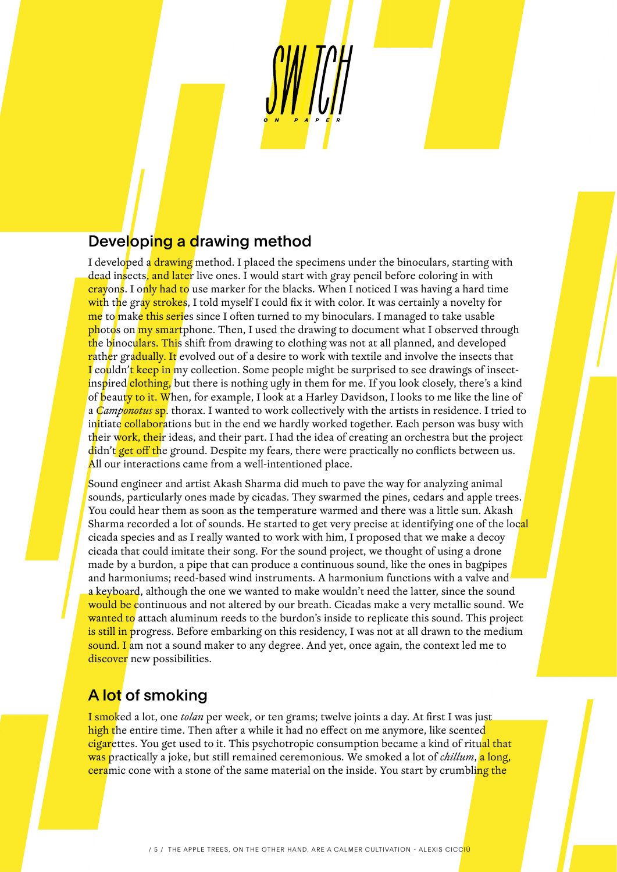## Developing a drawing method

I developed a drawing method. I placed the specimens under the binoculars, starting with dead insects, and later live ones. I would start with gray pencil before coloring in with crayons. I only had to use marker for the blacks. When I noticed I was having a hard time with the gray strokes, I told myself I could fix it with color. It was certainly a novelty for me to make this series since I often turned to my binoculars. I managed to take usable photos on my smartphone. Then, I used the drawing to document what I observed through the binoculars. This shift from drawing to clothing was not at all planned, and developed rather gradually. It evolved out of a desire to work with textile and involve the insects that I couldn't keep in my collection. Some people might be surprised to see drawings of insectinspired clothing, but there is nothing ugly in them for me. If you look closely, there's a kind of beauty to it. When, for example, I look at a Harley Davidson, I looks to me like the line of a *Camponotus* sp. thorax. I wanted to work collectively with the artists in residence. I tried to initiate collaborations but in the end we hardly worked together. Each person was busy with their work, their ideas, and their part. I had the idea of creating an orchestra but the project didn't get off the ground. Despite my fears, there were practically no conflicts between us. All our interactions came from a well-intentioned place.

Sound engineer and artist Akash Sharma did much to pave the way for analyzing animal sounds, particularly ones made by cicadas. They swarmed the pines, cedars and apple trees. You could hear them as soon as the temperature warmed and there was a little sun. Akash Sharma recorded a lot of sounds. He started to get very precise at identifying one of the local cicada species and as I really wanted to work with him, I proposed that we make a decoy cicada that could imitate their song. For the sound project, we thought of using a drone made by a burdon, a pipe that can produce a continuous sound, like the ones in bagpipes and harmoniums; reed-based wind instruments. A harmonium functions with a valve and a keyboard, although the one we wanted to make wouldn't need the latter, since the sound would be continuous and not altered by our breath. Cicadas make a very metallic sound. We wanted to attach aluminum reeds to the burdon's inside to replicate this sound. This project is still in progress. Before embarking on this residency, I was not at all drawn to the medium sound. I am not a sound maker to any degree. And yet, once again, the context led me to discover new possibilities.

### A lot of smoking

I smoked a lot, one *tolan* per week, or ten grams; twelve joints a day. At first I was just high the entire time. Then after a while it had no effect on me anymore, like scented cigarettes. You get used to it. This psychotropic consumption became a kind of ritual that was practically a joke, but still remained ceremonious. We smoked a lot of *chillum*, a long, ceramic cone with a stone of the same material on the inside. You start by crumbling the